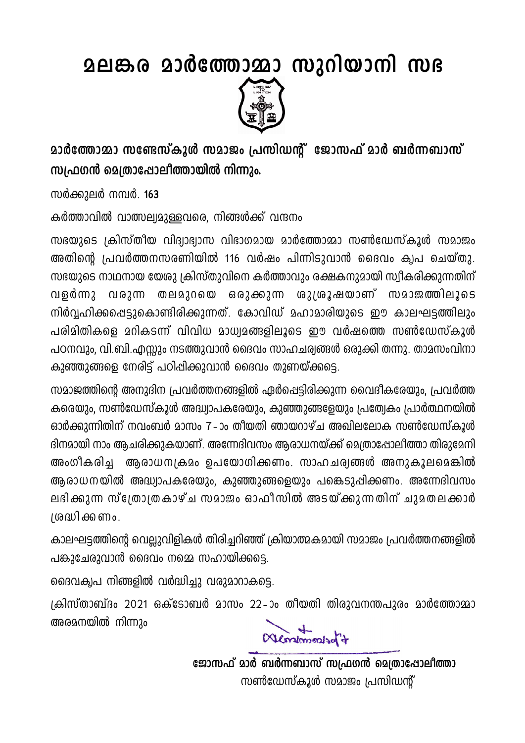**ഉലങ്കര മാർത്തോമ്മാ സുറിയാനി സഭ** 



<u> മാർത്തോമാ സണ്ടേസ്കൂൾ സമാജം പ്രസിഡന്റ് ജോസഫ് മാർ ബർന്നബാസ്</u> സ്വഫഗൻ മെത്രാഷോലീത്തായിൽ നിന്നും.

സർക്കുലർ നമ്പർ. 163

കർത്താവിൽ വാത്സല്വമുള്ളവരെ, നിങ്ങൾക്ക് വന്ദനം

സഭയുടെ ക്രിസ്തീയ വിദ്വാഭ്വാസ വിഭാഗമായ മാർത്തോമ്മാ സൺഡേസ്കൂൾ സമാജം അതിന്റെ പ്രവർത്തനസരണിയിൽ 116 വർഷം പിന്നിടുവാൻ ദൈവം ക്വപ ചെയ്തു. സഭയുടെ നാഥനായ യേശു ക്രിസ്തുവിനെ കർത്താവും രക്ഷകനുമായി സ്വീകരിക്കുന്നതിന് വരുന്ന തലമുറയെ ഒരുക്കുന്ന ശുശ്രൂഷയാണ് സമാജത്തിലൂടെ  $QJ$ ളർന്നു നിർവ്വഹിക്കപ്പെട്ടുകൊണ്ടിരിക്കുന്നത്. കോവിഡ് മഹാമാരിയുടെ ഈ കാലഘട്ടത്തിലും പരിമിതികളെ മറികടന്ന് വിവിധ മാധ്വമങ്ങളിലൂടെ ഈ വർഷത്തെ സൺഡേസ്കൂൾ പഠനവും, വി.ബി.എസ്ലും നടത്തുവാൻ ദൈവം സാഹചര്വങ്ങൾ ഒരുക്കി തന്നു. താമസംവിനാ കുഞ്ഞുങ്ങളെ നേരിട്ട് പഠിപ്പിക്കുവാൻ ദൈവം തുണയ്ക്കട്ടെ.

സമാജത്തിന്റെ അനുദിന പ്രവർത്തനങ്ങളിൽ ഏർപ്പെട്ടിരിക്കുന്ന വൈദീകരേയും, പ്രവർത്ത കരെയും, സൺഡേസ്കൂൾ അദ്ധ്വാപകരേയും, കുഞ്ഞുങ്ങളേയും പ്രത്വേകം പ്രാർത്ഥനയിൽ ഓർക്കുന്നിതിന് നവംബർ മാസം 7–ാം തീയതി ഞായറാഴ്ച അഖിലലോക സൺഡേസ്കൂൾ ദിനമായി നാം ആചരിക്കുകയാണ്. അന്നേദിവസം ആരാധനയ്ക്ക് മെത്രാഷോലീത്താ തിരുമേനി അംഗീകരിച്ച ആരാധനക്രമം ഉപയോഗിക്കണം. സാഹചര്വങ്ങൾ അനുകൂലമെങ്കിൽ ആരാധനയിൽ അദ്ധ്വാപകരേയും, കുഞ്ഞുങ്ങളെയും പങ്കെടുപ്പിക്കണം. അന്നേദിവസം ലഭിക്കുന്ന സ്ത്രോത്രകാഴ്ച സമാജം ഓഫീസിൽ അടയ്ക്കുന്നതിന് ചുമതലക്കാർ ത്രദ്ധിക്കണം.

കാലഘട്ടത്തിന്റെ വെല്ലുവിളികൾ തിരിച്ചറിഞ്ഞ് ക്രിയാത്മകമായി സമാജം പ്രവർത്തനങ്ങളിൽ പങ്കുചേരുവാൻ ദൈവം നമ്മെ സഹായിക്കട്ടെ.

ദൈവക്വപ നിങ്ങളിൽ വർദ്ധിച്ചു വരുമാറാകട്ടെ.

ക്രിസ്താബ്ദം 2021 ഒക്ടോബർ മാസം 22-ാം തീയതി തിരുവനന്തപുരം മാർത്തോമ്മാ അരമനയിൽ നിന്നും

Mentimonisor 7

ജോസഫ് മാർ ബർന്നബാസ് സഫ്രഗൻ മെത്രാപ്പോലിത്താ സൺഡേസ്കൂൾ സമാജം പ്രസിഡന്റ്